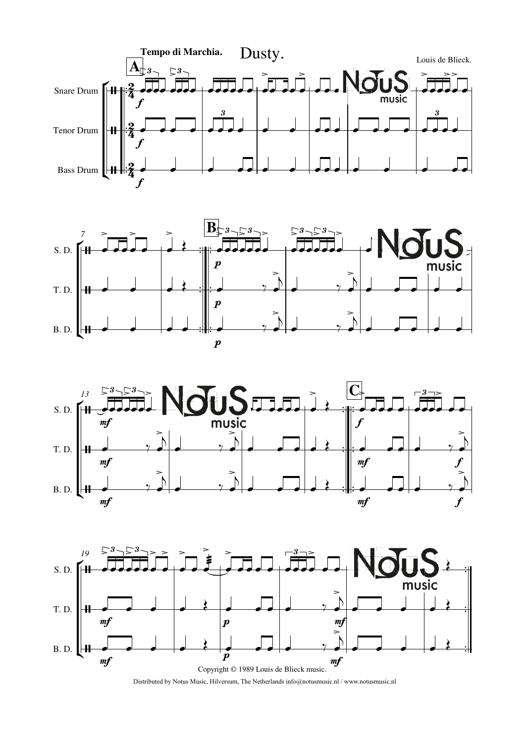